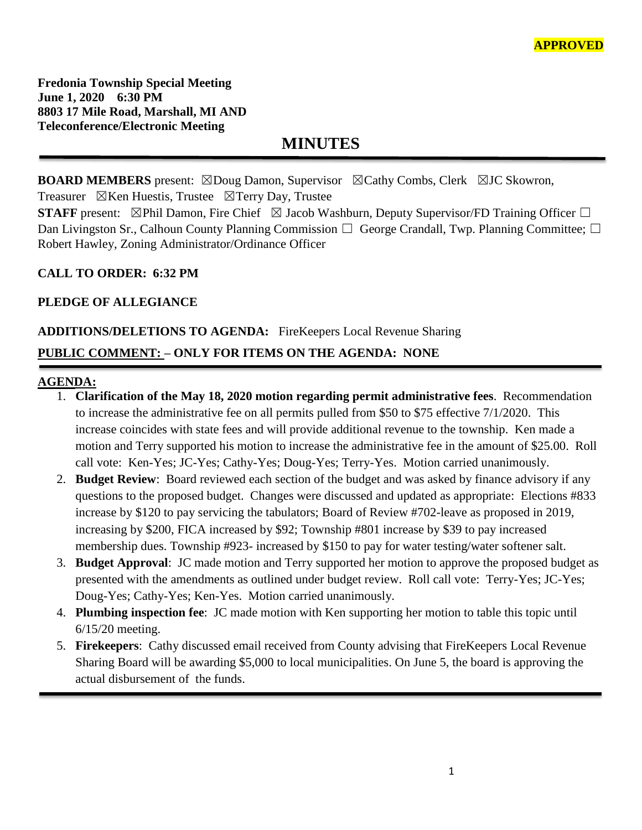**Fredonia Township Special Meeting June 1, 2020 6:30 PM 8803 17 Mile Road, Marshall, MI AND Teleconference/Electronic Meeting**

**MINUTES**

**BOARD MEMBERS** present: ⊠Doug Damon, Supervisor ⊠Cathy Combs, Clerk ⊠JC Skowron, Treasurer  $\boxtimes$ Ken Huestis, Trustee  $\boxtimes$ Terry Day, Trustee

**STAFF** present:  $\boxtimes$ Phil Damon, Fire Chief  $\boxtimes$  Jacob Washburn, Deputy Supervisor/FD Training Officer  $\Box$ Dan Livingston Sr., Calhoun County Planning Commission □ George Crandall, Twp. Planning Committee; □ Robert Hawley, Zoning Administrator/Ordinance Officer

#### **CALL TO ORDER: 6:32 PM**

### **PLEDGE OF ALLEGIANCE**

# **ADDITIONS/DELETIONS TO AGENDA:** FireKeepers Local Revenue Sharing **PUBLIC COMMENT: – ONLY FOR ITEMS ON THE AGENDA: NONE**

#### **AGENDA:**

- 1. **Clarification of the May 18, 2020 motion regarding permit administrative fees**. Recommendation to increase the administrative fee on all permits pulled from \$50 to \$75 effective 7/1/2020. This increase coincides with state fees and will provide additional revenue to the township. Ken made a motion and Terry supported his motion to increase the administrative fee in the amount of \$25.00. Roll call vote: Ken-Yes; JC-Yes; Cathy-Yes; Doug-Yes; Terry-Yes. Motion carried unanimously.
- 2. **Budget Review**: Board reviewed each section of the budget and was asked by finance advisory if any questions to the proposed budget. Changes were discussed and updated as appropriate: Elections #833 increase by \$120 to pay servicing the tabulators; Board of Review #702-leave as proposed in 2019, increasing by \$200, FICA increased by \$92; Township #801 increase by \$39 to pay increased membership dues. Township #923- increased by \$150 to pay for water testing/water softener salt.
- 3. **Budget Approval**: JC made motion and Terry supported her motion to approve the proposed budget as presented with the amendments as outlined under budget review. Roll call vote: Terry-Yes; JC-Yes; Doug-Yes; Cathy-Yes; Ken-Yes. Motion carried unanimously.
- 4. **Plumbing inspection fee**: JC made motion with Ken supporting her motion to table this topic until 6/15/20 meeting.
- 5. **Firekeepers**: Cathy discussed email received from County advising that FireKeepers Local Revenue Sharing Board will be awarding \$5,000 to local municipalities. On June 5, the board is approving the actual disbursement of the funds.